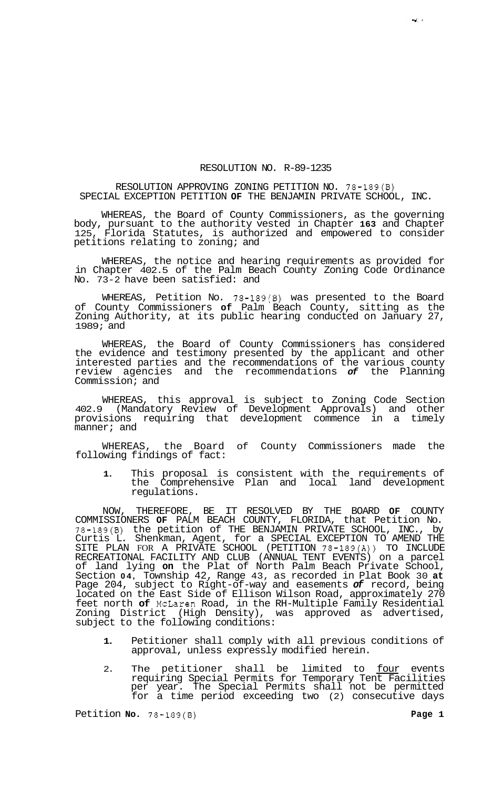## RESOLUTION NO. R-89-1235

RESOLUTION APPROVING ZONING PETITION NO. 78-189(B) SPECIAL EXCEPTION PETITION **OF** THE BENJAMIN PRIVATE SCHOOL, INC.

WHEREAS, the Board of County Commissioners, as the governing body, pursuant to the authority vested in Chapter **163** and Chapter 125, Florida Statutes, is authorized and empowered to consider petitions relating to zoning; and

WHEREAS, the notice and hearing requirements as provided for in Chapter 402.5 of the Palm Beach County Zoning Code Ordinance No. 73-2 have been satisfied: and

WHEREAS, Petition No. 78-189(B) was presented to the Board of County Commissioners **of** Palm Beach County, sitting as the Zoning Authority, at its public hearing conducted on January 27, 1989; and

WHEREAS, the Board of County Commissioners has considered the evidence and testimony presented by the applicant and other interested parties and the recommendations of the various county review agencies and the recommendations *of* the Planning Commission; and

WHEREAS, this approval is subject to Zoning Code Section 402.9 (Mandatory Review of Development Approvals) and other provisions requiring that development commence in a timely manner; and

WHEREAS, the Board of County Commissioners made the following findings of fact:

**1.** This proposal is consistent with the requirements of the Comprehensive Plan and local land development regulations.

NOW, THEREFORE, BE IT RESOLVED BY THE BOARD **OF** COUNTY COMMISSIONERS **OF** PALM BEACH COUNTY, FLORIDA, that Petition No. 78-189(B) the petition of THE BENJAMIN PRIVATE SCHOOL, INC., by Curtis L. Shenkman, Agent, for a SPECIAL EXCEPTION TO AMEND THE SITE PLAN FOR A PRIVATE SCHOOL (PETITION 78-189(A)) TO INCLUDE RECREATIONAL FACILITY AND CLUB (ANNUAL TENT EVENTS) on a parcel of land lying **on** the Plat of North Palm Beach Private School, Section **04,** Township 42, Range 43, as recorded in Plat Book 30 **at**  Page 204, subject to Right-of-way and easements *of* record, being located on the East Side of Ellison Wilson Road, approximately 270 feet north **of** McLaren Road, in the RH-Multiple Family Residential Zoning District (High Density), was approved as advertised, subject to the following conditions:

- **1.** Petitioner shall comply with all previous conditions of approval, unless expressly modified herein.
- 2. The petitioner shall be limited to four events requiring Special Permits for Temporary Tent Facilities per year. The Special Permits shall not be permitted for a time period exceeding two (2) consecutive days

Petition **No.**  $78-189(8)$  **Page 1**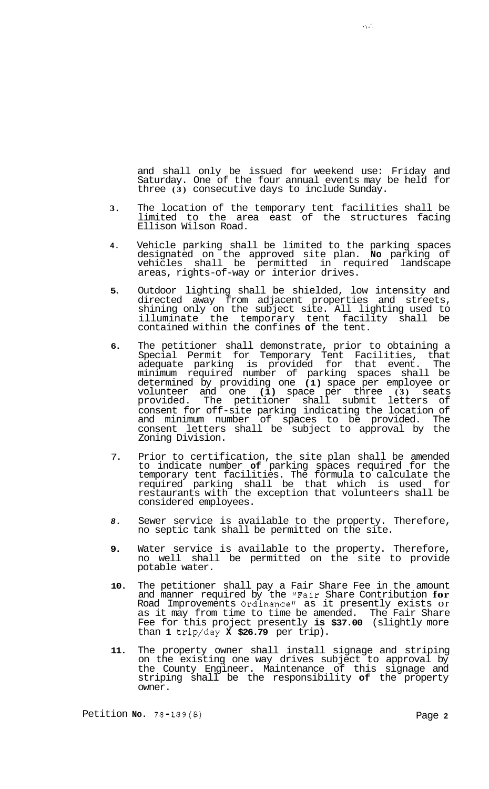and shall only be issued for weekend use: Friday and Saturday. One of the four annual events may be held for three **(3)** consecutive days to include Sunday.

- **3.** The location of the temporary tent facilities shall be limited to the area east of the structures facing Ellison Wilson Road.
- **4.** Vehicle parking shall be limited to the parking spaces designated on the approved site plan. **No** parking of vehicles shall be permitted in required landscape areas, rights-of-way or interior drives.
- **5.** Outdoor lighting shall be shielded, low intensity and directed away from adjacent properties and streets, shining only on the subject site. All lighting used to illuminate the temporary tent facility shall be contained within the confines **of** the tent.
- **6.** The petitioner shall demonstrate, prior to obtaining a Special Permit for Temporary Tent Facilities, that adequate parking is provided for that event. The minimum required number of parking spaces shall be determined by providing one **(1)** space per employee or volunteer and one **(1)** space per three **(3)** seats provided. The petitioner shall submit letters of consent for off-site parking indicating the location of and minimum number of spaces to be provided. The consent letters shall be subject to approval by the Zoning Division.
- 7. Prior to certification, the site plan shall be amended to indicate number **of** parking spaces required for the temporary tent facilities. The formula to calculate the required parking shall be that which is used for restaurants with the exception that volunteers shall be considered employees.
- *8.* Sewer service is available to the property. Therefore, no septic tank shall be permitted on the site.
- **9.** Water service is available to the property. Therefore, no well shall be permitted on the site to provide potable water.
- **10.** The petitioner shall pay a Fair Share Fee in the amount and manner required by the "Fair Share Contribution **for**  Road Improvements Ordinance" as it presently exists or as it may from time to time be amended. The Fair Share Fee for this project presently **is \$37.00** (slightly more than **1** trip/day **X \$26.79** per trip).
- **11.** The property owner shall install signage and striping on the existing one way drives subject to approval by the County Engineer. Maintenance of this signage and striping shall be the responsibility **of** the property owner.